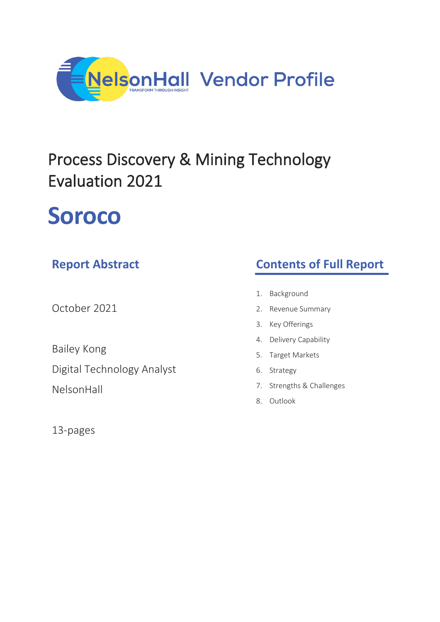

## Process Discovery & Mining Technology Evaluation 2021

# **Soroco**

### **Report Abstract**

October 2021

Bailey Kong Digital Technology Analyst

NelsonHall

13-pages

### **Contents of Full Report**

- 1. Background
- 2. Revenue Summary
- 3. Key Offerings
- 4. Delivery Capability
- 5. Target Markets
- 6. Strategy
- 7. Strengths & Challenges
- 8. Outlook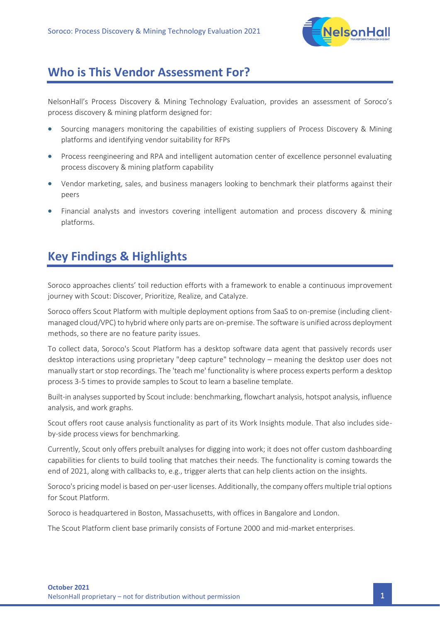

#### **Who is This Vendor Assessment For?**

NelsonHall's Process Discovery & Mining Technology Evaluation, provides an assessment of Soroco's process discovery & mining platform designed for:

- Sourcing managers monitoring the capabilities of existing suppliers of Process Discovery & Mining platforms and identifying vendor suitability for RFPs
- Process reengineering and RPA and intelligent automation center of excellence personnel evaluating process discovery & mining platform capability
- Vendor marketing, sales, and business managers looking to benchmark their platforms against their peers
- Financial analysts and investors covering intelligent automation and process discovery & mining platforms.

### **Key Findings & Highlights**

Soroco approaches clients' toil reduction efforts with a framework to enable a continuous improvement journey with Scout: Discover, Prioritize, Realize, and Catalyze.

Soroco offers Scout Platform with multiple deployment options from SaaS to on-premise (including clientmanaged cloud/VPC) to hybrid where only parts are on-premise. The software is unified across deployment methods, so there are no feature parity issues.

To collect data, Soroco's Scout Platform has a desktop software data agent that passively records user desktop interactions using proprietary "deep capture" technology – meaning the desktop user does not manually start or stop recordings. The 'teach me' functionality is where process experts perform a desktop process 3-5 times to provide samples to Scout to learn a baseline template.

Built-in analyses supported by Scout include: benchmarking, flowchart analysis, hotspot analysis, influence analysis, and work graphs.

Scout offers root cause analysis functionality as part of its Work Insights module. That also includes sideby-side process views for benchmarking.

Currently, Scout only offers prebuilt analyses for digging into work; it does not offer custom dashboarding capabilities for clients to build tooling that matches their needs. The functionality is coming towards the end of 2021, along with callbacks to, e.g., trigger alerts that can help clients action on the insights.

Soroco's pricing model is based on per-user licenses. Additionally, the company offers multiple trial options for Scout Platform.

Soroco is headquartered in Boston, Massachusetts, with offices in Bangalore and London.

The Scout Platform client base primarily consists of Fortune 2000 and mid-market enterprises.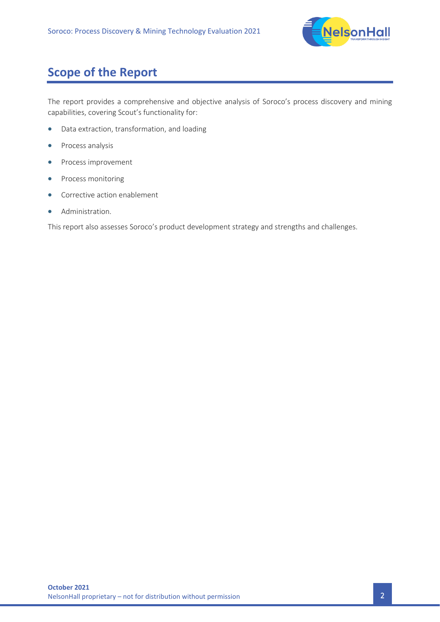

### **Scope of the Report**

The report provides a comprehensive and objective analysis of Soroco's process discovery and mining capabilities, covering Scout's functionality for:

- Data extraction, transformation, and loading
- Process analysis
- Process improvement
- Process monitoring
- Corrective action enablement
- Administration.

This report also assesses Soroco's product development strategy and strengths and challenges.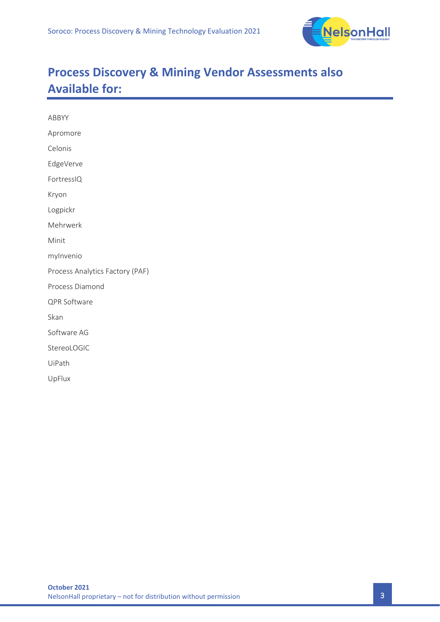

### **Process Discovery & Mining Vendor Assessments also Available for:**

| ABBYY                           |
|---------------------------------|
| Apromore                        |
| Celonis                         |
| EdgeVerve                       |
| FortressIQ                      |
| Kryon                           |
| Logpickr                        |
| Mehrwerk                        |
| Minit                           |
| mylnvenio                       |
| Process Analytics Factory (PAF) |
| Process Diamond                 |
| QPR Software                    |
| Skan                            |
| Software AG                     |
| StereoLOGIC                     |
| UiPath                          |
| UpFlux                          |
|                                 |